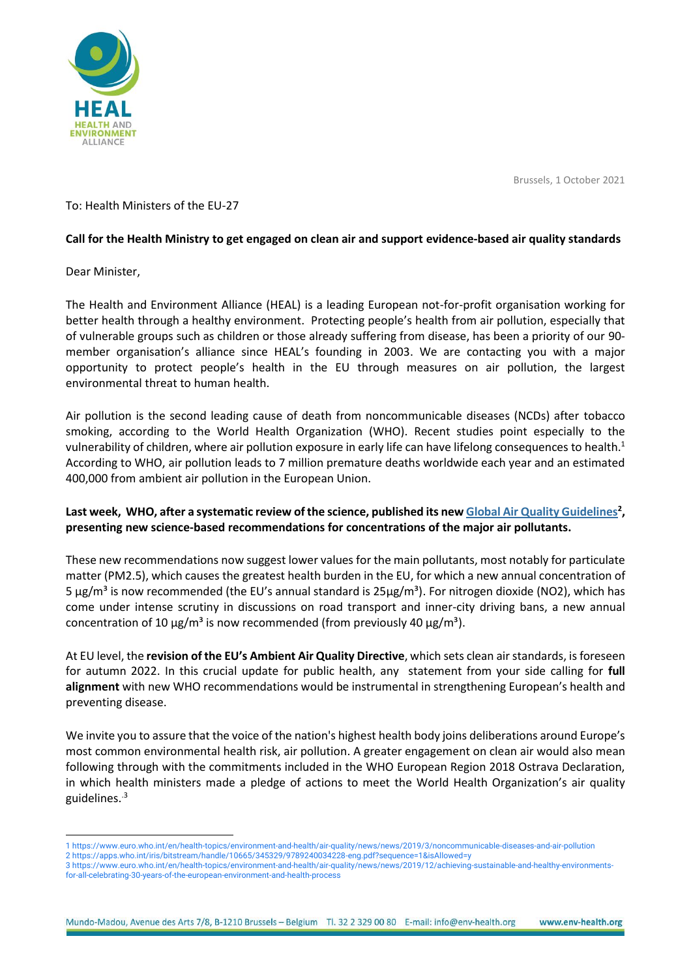

Brussels, 1 October 2021

# To: Health Ministers of the EU-27

# **Call for the Health Ministry to get engaged on clean air and support evidence-based air quality standards**

### Dear Minister,

The Health and Environment Alliance (HEAL) is a leading European not-for-profit organisation working for better health through a healthy environment. Protecting people's health from air pollution, especially that of vulnerable groups such as children or those already suffering from disease, has been a priority of our 90 member organisation's alliance since HEAL's founding in 2003. We are contacting you with a major opportunity to protect people's health in the EU through measures on air pollution, the largest environmental threat to human health.

Air pollution is the second leading cause of death from noncommunicable diseases (NCDs) after tobacco smoking, according to the World Health Organization (WHO). Recent studies point especially to the vulnerability of children, where air pollution exposure in early life can have lifelong consequences to health.<sup>1</sup> According to WHO, air pollution leads to 7 million premature deaths worldwide each year and an estimated 400,000 from ambient air pollution in the European Union.

# **Last week, WHO, after a systematic review of the science, published its ne[w Global Air Quality Guidelines](https://apps.who.int/iris/bitstream/handle/10665/345329/9789240034228-eng.pdf?sequence=1&isAllowed=y)<sup>2</sup> , presenting new science-based recommendations for concentrations of the major air pollutants.**

These new recommendations now suggest lower values for the main pollutants, most notably for particulate matter (PM2.5), which causes the greatest health burden in the EU, for which a new annual concentration of 5  $\mu$ g/m<sup>3</sup> is now recommended (the EU's annual standard is  $25\mu$ g/m<sup>3</sup>). For nitrogen dioxide (NO2), which has come under intense scrutiny in discussions on road transport and inner-city driving bans, a new annual concentration of 10  $\mu$ g/m<sup>3</sup> is now recommended (from previously 40  $\mu$ g/m<sup>3</sup>).

At EU level, the **revision of the EU's Ambient Air Quality Directive**, which sets clean air standards, is foreseen for autumn 2022. In this crucial update for public health, any statement from your side calling for **full alignment** with new WHO recommendations would be instrumental in strengthening European's health and preventing disease.

We invite you to assure that the voice of the nation's highest health body joins deliberations around Europe's most common environmental health risk, air pollution. A greater engagement on clean air would also mean following through with the commitments included in the WHO European Region 2018 Ostrava Declaration, in which health ministers made a pledge of actions to meet the World Health Organization's air quality guidelines.<sup>.3</sup>

<sup>1</sup> <https://www.euro.who.int/en/health-topics/environment-and-health/air-quality/news/news/2019/3/noncommunicable-diseases-and-air-pollution> 2 <https://apps.who.int/iris/bitstream/handle/10665/345329/9789240034228-eng.pdf?sequence=1&isAllowed=y>

<sup>3</sup> [https://www.euro.who.int/en/health-topics/environment-and-health/air-quality/news/news/2019/12/achieving-sustainable-and-healthy-environments](https://www.euro.who.int/en/health-topics/environment-and-health/air-quality/news/news/2019/12/achieving-sustainable-and-healthy-environments-for-all-celebrating-30-years-of-the-european-environment-and-health-process)[for-all-celebrating-30-years-of-the-european-environment-and-health-process](https://www.euro.who.int/en/health-topics/environment-and-health/air-quality/news/news/2019/12/achieving-sustainable-and-healthy-environments-for-all-celebrating-30-years-of-the-european-environment-and-health-process)